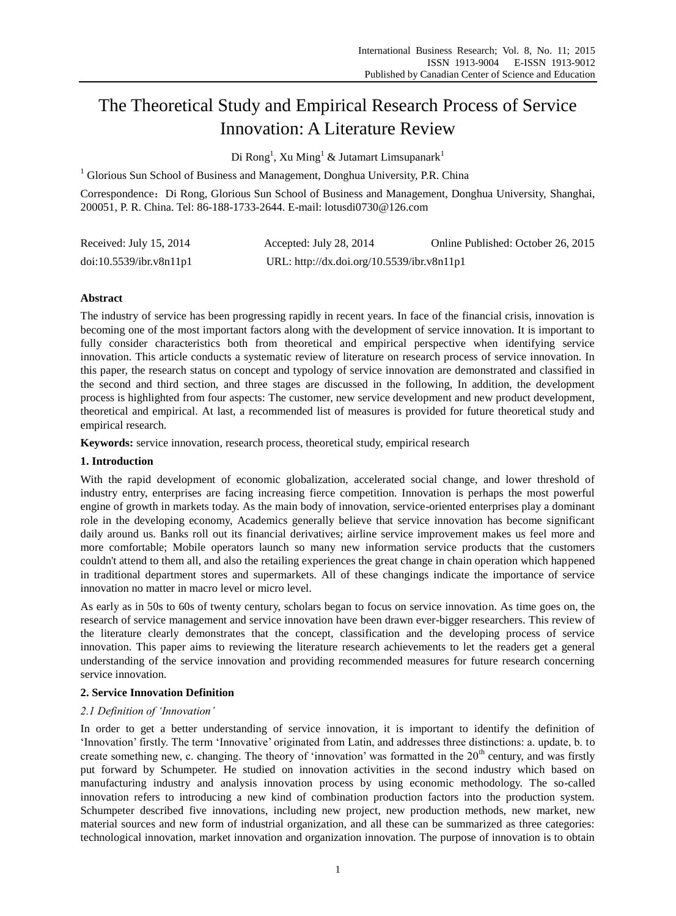# The Theoretical Study and Empirical Research Process of Service Innovation: A Literature Review

Di Rong<sup>1</sup>, Xu Ming<sup>1</sup> & Jutamart Limsupanark<sup>1</sup>

 $1$  Glorious Sun School of Business and Management, Donghua University, P.R. China

Correspondence: Di Rong, Glorious Sun School of Business and Management, Donghua University, Shanghai, 200051, P. R. China[. Tel:](mailto:Tel:%2086) 86-188-1733-2644. E-mail: [lotusdi0730@126.com](mailto:lotusdi0730@126.com)

| Received: July 15, 2014 | Accepted: July 28, 2014                    | Online Published: October 26, 2015 |
|-------------------------|--------------------------------------------|------------------------------------|
| doi:10.5539/ibr.v8n11p1 | URL: http://dx.doi.org/10.5539/ibr.v8n11p1 |                                    |

# **Abstract**

The industry of service has been progressing rapidly in recent years. In face of the financial crisis, innovation is becoming one of the most important factors along with the development of service innovation. It is important to fully consider characteristics both from theoretical and empirical perspective when identifying service innovation. This article conducts a systematic review of literature on research process of service innovation. In this paper, the research status on concept and typology of service innovation are demonstrated and classified in the second and third section, and three stages are discussed in the following, In addition, the development process is highlighted from four aspects: The customer, new service development and new product development, theoretical and empirical. At last, a recommended list of measures is provided for future theoretical study and empirical research.

**Keywords:** service innovation, research process, theoretical study, empirical research

# **1. Introduction**

With the rapid development of economic globalization, accelerated social change, and lower threshold of industry entry, enterprises are facing increasing fierce competition. Innovation is perhaps the most powerful engine of growth in markets today. As the main body of innovation, service-oriented enterprises play a dominant role in the developing economy, Academics generally believe that service innovation has become significant daily around us. Banks roll out its financial derivatives; airline service improvement makes us feel more and more comfortable; Mobile operators launch so many new information service products that the customers couldn't attend to them all, and also the retailing experiences the great change in chain operation which happened in traditional department stores and supermarkets. All of these changings indicate the importance of service innovation no matter in macro level or micro level.

As early as in 50s to 60s of twenty century, scholars began to focus on service innovation. As time goes on, the research of service management and service innovation have been drawn ever-bigger researchers. This review of the literature clearly demonstrates that the concept, classification and the developing process of service innovation. This paper aims to reviewing the literature research achievements to let the readers get a general understanding of the service innovation and providing recommended measures for future research concerning service innovation.

# **2. Service Innovation Definition**

# *2.1 Definition of 'Innovation'*

In order to get a better understanding of service innovation, it is important to identify the definition of "Innovation" firstly. The term "Innovative" originated from Latin, and addresses three distinctions: a. update, b. to create something new, c. changing. The theory of 'innovation' was formatted in the  $20<sup>th</sup>$  century, and was firstly put forward by Schumpeter. He studied on innovation activities in the second industry which based on manufacturing industry and analysis innovation process by using economic methodology. The so-called innovation refers to introducing a new kind of combination production factors into the production system. Schumpeter described five innovations, including new project, new production methods, new market, new material sources and new form of industrial organization, and all these can be summarized as three categories: technological innovation, market innovation and organization innovation. The purpose of innovation is to obtain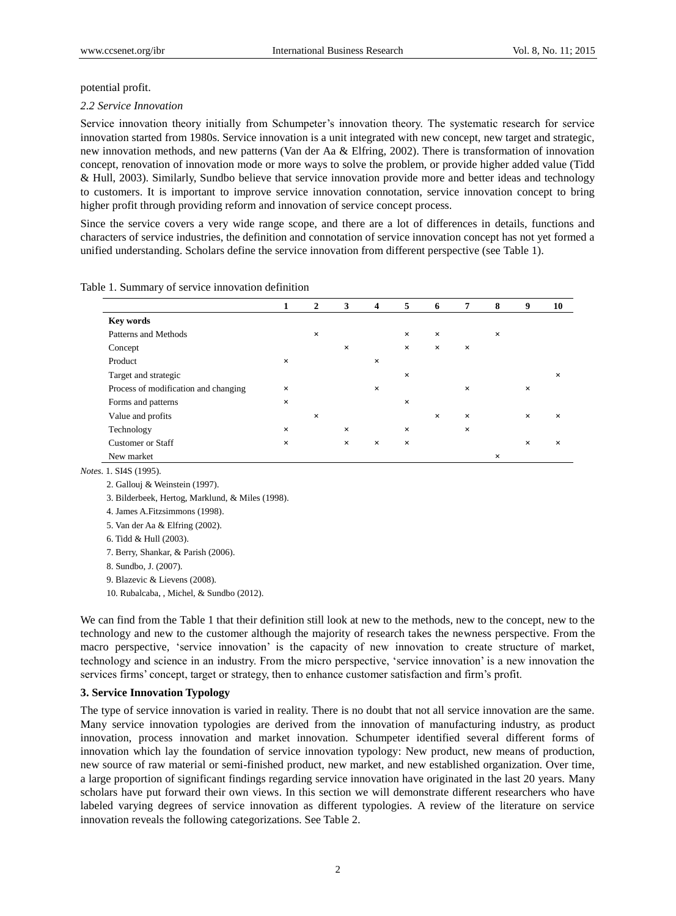#### potential profit.

#### *2.2 Service Innovation*

Service innovation theory initially from Schumpeter"s innovation theory. The systematic research for service innovation started from 1980s. Service innovation is a unit integrated with new concept, new target and strategic, new innovation methods, and new patterns (Van der Aa & Elfring, 2002). There is transformation of innovation concept, renovation of innovation mode or more ways to solve the problem, or provide higher added value (Tidd & Hull, 2003). Similarly, Sundbo believe that service innovation provide more and better ideas and technology to customers. It is important to improve service innovation connotation, service innovation concept to bring higher profit through providing reform and innovation of service concept process.

Since the service covers a very wide range scope, and there are a lot of differences in details, functions and characters of service industries, the definition and connotation of service innovation concept has not yet formed a unified understanding. Scholars define the service innovation from different perspective (see Table 1).

#### Table 1. Summary of service innovation definition

|                                      | 1 | $\overline{2}$ | 3        | 4        | 5              | 6        | 7        | 8 | 9        | 10 |  |
|--------------------------------------|---|----------------|----------|----------|----------------|----------|----------|---|----------|----|--|
| <b>Key words</b>                     |   |                |          |          |                |          |          |   |          |    |  |
| Patterns and Methods                 |   | $\pmb{\times}$ |          |          | $\times$       | $\times$ |          | X |          |    |  |
| Concept                              |   |                | ×        |          | $\pmb{\times}$ | $\times$ | ×        |   |          |    |  |
| Product                              | X |                |          | X        |                |          |          |   |          |    |  |
| Target and strategic                 |   |                |          |          | X              |          |          |   |          | ×  |  |
| Process of modification and changing | × |                |          | X        |                |          | ×        |   | $\times$ |    |  |
| Forms and patterns                   | × |                |          |          | X              |          |          |   |          |    |  |
| Value and profits                    |   | $\times$       |          |          |                | $\times$ | $\times$ |   | $\times$ | ×  |  |
| Technology                           | x |                | X        |          | X              |          | X        |   |          |    |  |
| <b>Customer or Staff</b>             | × |                | $\times$ | $\times$ | $\times$       |          |          |   | $\times$ | ×  |  |
| New market                           |   |                |          |          |                |          |          | X |          |    |  |

*Notes.* 1. SI4S (1995).

2. Gallouj & Weinstein (1997).

3. Bilderbeek, Hertog, Marklund, & Miles (1998).

4. James A.Fitzsimmons (1998).

5. Van der Aa & Elfring (2002).

6. Tidd & Hull (2003).

7. Berry, Shankar, & Parish (2006).

8. Sundbo, J. (2007).

9. Blazevic & Lievens (2008).

10. Rubalcaba, , Michel, & Sundbo (2012).

We can find from the Table 1 that their definition still look at new to the methods, new to the concept, new to the technology and new to the customer although the majority of research takes the newness perspective. From the macro perspective, "service innovation" is the capacity of new innovation to create structure of market, technology and science in an industry. From the micro perspective, "service innovation" is a new innovation the services firms' concept, target or strategy, then to enhance customer satisfaction and firm's profit.

## **3. Service Innovation Typology**

The type of service innovation is varied in reality. There is no doubt that not all service innovation are the same. Many service innovation typologies are derived from the innovation of manufacturing industry, as product innovation, process innovation and market innovation. Schumpeter identified several different forms of innovation which lay the foundation of service innovation typology: New product, new means of production, new source of raw material or semi-finished product, new market, and new established organization. Over time, a large proportion of significant findings regarding service innovation have originated in the last 20 years. Many scholars have put forward their own views. In this section we will demonstrate different researchers who have labeled varying degrees of service innovation as different typologies. A review of the literature on service innovation reveals the following categorizations. See Table 2.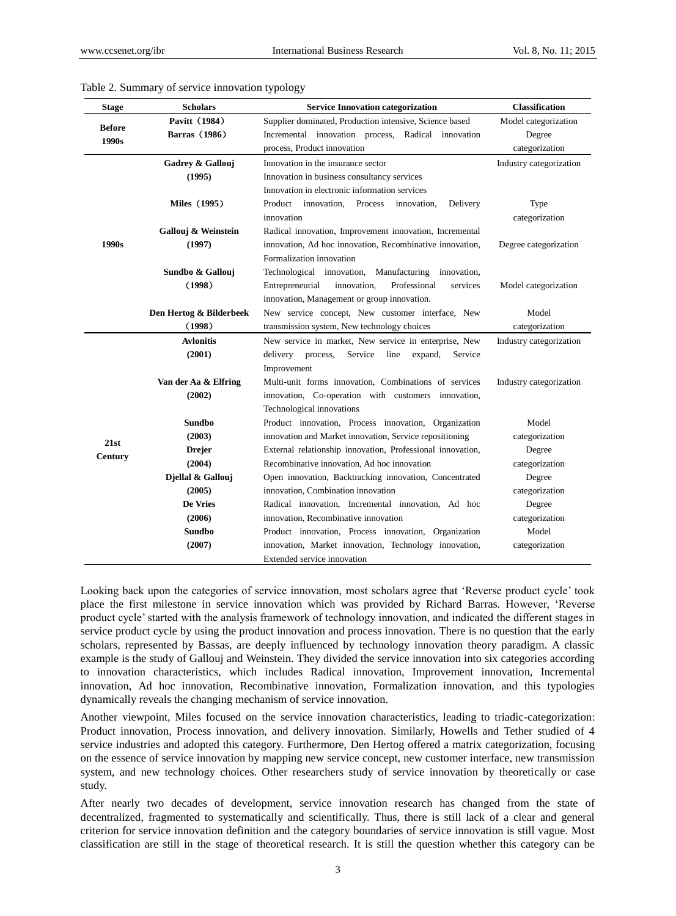| <b>Stage</b>           | <b>Scholars</b>         | <b>Service Innovation categorization</b>                      | <b>Classification</b>   |
|------------------------|-------------------------|---------------------------------------------------------------|-------------------------|
|                        | Pavitt (1984)           | Supplier dominated, Production intensive, Science based       | Model categorization    |
| <b>Before</b><br>1990s | Barras (1986)           | Incremental innovation process, Radical innovation            | Degree                  |
|                        |                         | process, Product innovation                                   | categorization          |
|                        | Gadrey & Gallouj        | Innovation in the insurance sector                            | Industry categorization |
|                        | (1995)                  | Innovation in business consultancy services                   |                         |
|                        |                         | Innovation in electronic information services                 |                         |
|                        | <b>Miles</b> (1995)     | Delivery<br>Product<br>innovation.<br>Process<br>innovation,  | Type                    |
|                        |                         | innovation                                                    | categorization          |
|                        | Gallouj & Weinstein     | Radical innovation, Improvement innovation, Incremental       |                         |
| 1990s                  | (1997)                  | innovation, Ad hoc innovation, Recombinative innovation,      | Degree categorization   |
|                        |                         | Formalization innovation                                      |                         |
|                        | Sundbo & Gallouj        | Technological innovation, Manufacturing<br>innovation,        |                         |
|                        | (1998)                  | innovation,<br>Professional<br>Entrepreneurial<br>services    | Model categorization    |
|                        |                         | innovation, Management or group innovation.                   |                         |
|                        | Den Hertog & Bilderbeek | New service concept, New customer interface, New              | Model                   |
|                        | (1998)                  | transmission system, New technology choices                   | categorization          |
|                        | <b>Avlonitis</b>        | New service in market, New service in enterprise, New         | Industry categorization |
|                        | (2001)                  | delivery<br>process,<br>Service<br>line<br>expand,<br>Service |                         |
|                        |                         | Improvement                                                   |                         |
|                        | Van der Aa & Elfring    | Multi-unit forms innovation, Combinations of services         | Industry categorization |
|                        | (2002)                  | innovation, Co-operation with customers innovation,           |                         |
|                        |                         | Technological innovations                                     |                         |
|                        | Sundbo                  | Product innovation, Process innovation, Organization          | Model                   |
| 21st                   | (2003)                  | innovation and Market innovation, Service repositioning       | categorization          |
| Century                | <b>Drejer</b>           | External relationship innovation, Professional innovation,    | Degree                  |
|                        | (2004)                  | Recombinative innovation, Ad hoc innovation                   | categorization          |
|                        | Djellal & Gallouj       | Open innovation, Backtracking innovation, Concentrated        | Degree                  |
|                        | (2005)                  | innovation, Combination innovation                            | categorization          |
|                        | De Vries                | Radical innovation, Incremental innovation, Ad hoc            | Degree                  |
|                        | (2006)                  | innovation, Recombinative innovation                          | categorization          |
|                        | Sundbo                  | Product innovation, Process innovation, Organization          | Model                   |
|                        | (2007)                  | innovation, Market innovation, Technology innovation,         | categorization          |
|                        |                         | Extended service innovation                                   |                         |

## Table 2. Summary of service innovation typology

Looking back upon the categories of service innovation, most scholars agree that "Reverse product cycle" took place the first milestone in service innovation which was provided by Richard Barras. However, "Reverse product cycle" started with the analysis framework of technology innovation, and indicated the different stages in service product cycle by using the product innovation and process innovation. There is no question that the early scholars, represented by Bassas, are deeply influenced by technology innovation theory paradigm. A classic example is the study of Gallouj and Weinstein. They divided the service innovation into six categories according to innovation characteristics, which includes Radical innovation, Improvement innovation, Incremental innovation, Ad hoc innovation, Recombinative innovation, Formalization innovation, and this typologies dynamically reveals the changing mechanism of service innovation.

Another viewpoint, Miles focused on the service innovation characteristics, leading to triadic-categorization: Product innovation, Process innovation, and delivery innovation. Similarly, Howells and Tether studied of 4 service industries and adopted this category. Furthermore, Den Hertog offered a matrix categorization, focusing on the essence of service innovation by mapping new service concept, new customer interface, new transmission system, and new technology choices. Other researchers study of service innovation by theoretically or case study.

After nearly two decades of development, service innovation research has changed from the state of decentralized, fragmented to systematically and scientifically. Thus, there is still lack of a clear and general criterion for service innovation definition and the category boundaries of service innovation is still vague. Most classification are still in the stage of theoretical research. It is still the question whether this category can be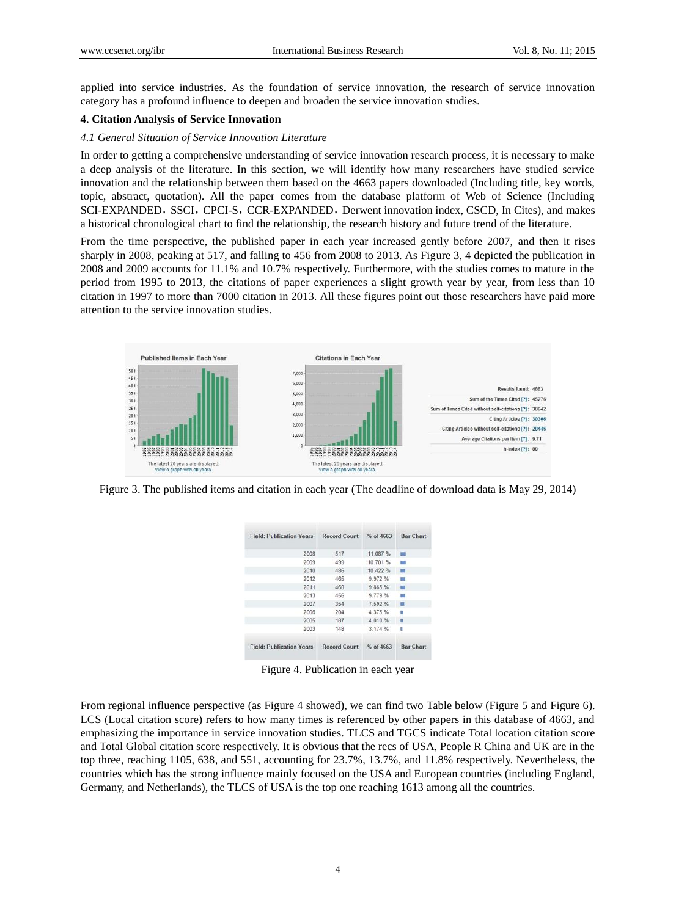applied into service industries. As the foundation of service innovation, the research of service innovation category has a profound influence to deepen and broaden the service innovation studies.

## **4. Citation Analysis of Service Innovation**

#### *4.1 General Situation of Service Innovation Literature*

In order to getting a comprehensive understanding of service innovation research process, it is necessary to make a deep analysis of the literature. In this section, we will identify how many researchers have studied service innovation and the relationship between them based on the 4663 papers downloaded (Including title, key words, topic, abstract, quotation). All the paper comes from the database platform of Web of Science (Including SCI-EXPANDED, SSCI, CPCI-S, CCR-EXPANDED, Derwent innovation index, CSCD, In Cites), and makes a historical chronological chart to find the relationship, the research history and future trend of the literature.

From the time perspective, the published paper in each year increased gently before 2007, and then it rises sharply in 2008, peaking at 517, and falling to 456 from 2008 to 2013. As Figure 3, 4 depicted the publication in 2008 and 2009 accounts for 11.1% and 10.7% respectively. Furthermore, with the studies comes to mature in the period from 1995 to 2013, the citations of paper experiences a slight growth year by year, from less than 10 citation in 1997 to more than 7000 citation in 2013. All these figures point out those researchers have paid more attention to the service innovation studies.



Figure 3. The published items and citation in each year (The deadline of download data is May 29, 2014)

| <b>Field: Publication Years</b> | <b>Record Count</b> | $%$ of 4663 | <b>Bar Chart</b> |
|---------------------------------|---------------------|-------------|------------------|
| 2008                            | 517                 | 11.087 %    | 圖                |
| 2009                            | 499                 | 10.701%     | m                |
| 2010                            | 486                 | 10.422 %    | m                |
| 2012                            | 465                 | 9.972 %     | <b>CO</b>        |
| 2011                            | 460                 | 9.865 %     | 欄                |
| 2013                            | 456                 | 9.779 %     | <b>COL</b>       |
| 2007                            | 354                 | 7.592 %     | 顧                |
| 2006                            | 204                 | 4.375 %     | ٠                |
| 2005                            | 187                 | 4 0 10 %    | п                |
| 2003                            | 148                 | 3.174 %     | ı                |
| <b>Field: Publication Years</b> | <b>Record Count</b> | % of 4663   | <b>Bar Chart</b> |

Figure 4. Publication in each year

From regional influence perspective (as Figure 4 showed), we can find two Table below (Figure 5 and Figure 6). LCS (Local citation score) refers to how many times is referenced by other papers in this database of 4663, and emphasizing the importance in service innovation studies. TLCS and TGCS indicate Total location citation score and Total Global citation score respectively. It is obvious that the recs of USA, People R China and UK are in the top three, reaching 1105, 638, and 551, accounting for 23.7%, 13.7%, and 11.8% respectively. Nevertheless, the countries which has the strong influence mainly focused on the USA and European countries (including England, Germany, and Netherlands), the TLCS of USA is the top one reaching 1613 among all the countries.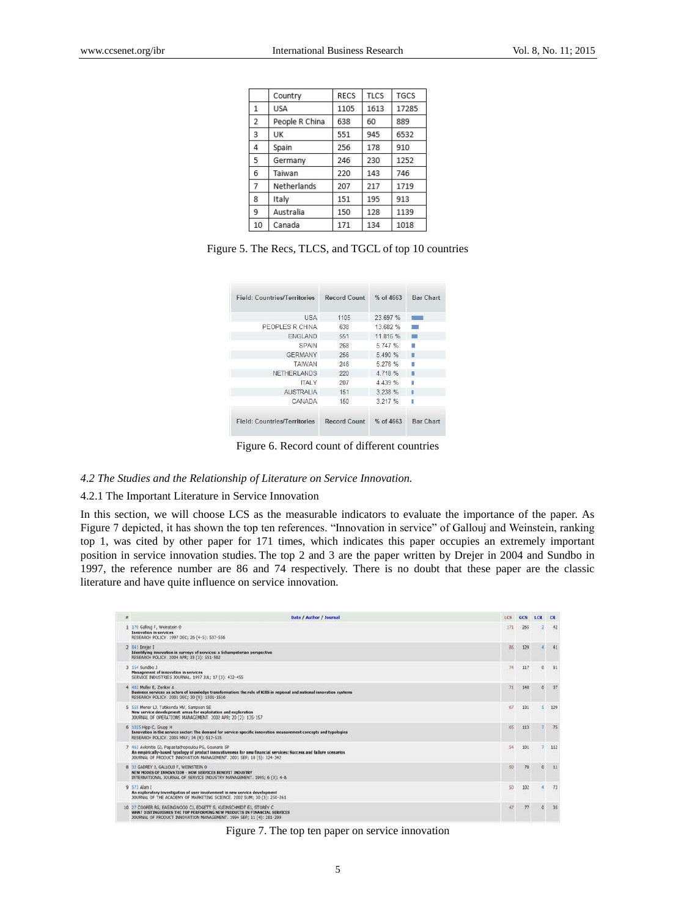|                | Country        | <b>RECS</b> | <b>TLCS</b> | <b>TGCS</b> |
|----------------|----------------|-------------|-------------|-------------|
| $\mathbf{1}$   | <b>USA</b>     | 1105        | 1613        | 17285       |
| $\overline{2}$ | People R China | 638         | 60          | 889         |
| 3              | UK             | 551         | 945         | 6532        |
| 4              | Spain          | 256         | 178         | 910         |
| 5              | Germany        | 246         | 230         | 1252        |
| 6              | Taiwan         | 220         | 143         | 746         |
| $\overline{7}$ | Netherlands    | 207         | 217         | 1719        |
| 8              | Italy          | 151         | 195         | 913         |
| 9              | Australia      | 150         | 128         | 1139        |
| 10             | Canada         | 171         | 134         | 1018        |

|  |  |  |  | Figure 5. The Recs, TLCS, and TGCL of top 10 countries |  |  |  |
|--|--|--|--|--------------------------------------------------------|--|--|--|
|--|--|--|--|--------------------------------------------------------|--|--|--|

| <b>Field: Countries/Territories</b> | Record Count | $%$ of 4663 | Bar Chart        |
|-------------------------------------|--------------|-------------|------------------|
| <b>USA</b>                          | 1105         | 23.697 %    | $\sim$           |
| PEOPLES R CHINA                     | 638          | 13 682 %    | R.               |
| <b>ENGLAND</b>                      | 551          | 11.816 %    | <b>SIGN</b>      |
| <b>SPAIN</b>                        | 268          | 5.747 %     | 91               |
| <b>GERMANY</b>                      | 256          | 5.490 %     | 罿                |
| <b>TAIWAN</b>                       | 246          | 5 276 %     | 圖                |
| NETHERLANDS                         | 220          | 4 7 18 %    | п                |
| <b>ITALY</b>                        | 207          | 4 4 3 %     | п                |
| <b>AUSTRALIA</b>                    | 151          | 3.238 %     | п                |
| CANADA                              | 150          | 3.217 %     | ß                |
| <b>Field: Countries/Territories</b> | Record Count | % of 4663   | <b>Bar Chart</b> |

Figure 6. Record count of different countries

# *4.2 The Studies and the Relationship of Literature on Service Innovation.*

# 4.2.1 The Important Literature in Service Innovation

In this section, we will choose LCS as the measurable indicators to evaluate the importance of the paper. As Figure 7 depicted, it has shown the top ten references. "Innovation in service" of Gallouj and Weinstein, ranking top 1, was cited by other paper for 171 times, which indicates this paper occupies an extremely important position in service innovation studies. The top 2 and 3 are the paper written by Drejer in 2004 and Sundbo in 1997, the reference number are 86 and 74 respectively. There is no doubt that these paper are the classic literature and have quite influence on service innovation.

| $\overline{z}$ | Date / Author / Journal                                                                                                                                                                                                                        | LCS: | GCS | LCR        | <b>CR</b> |
|----------------|------------------------------------------------------------------------------------------------------------------------------------------------------------------------------------------------------------------------------------------------|------|-----|------------|-----------|
|                | 1 170 Gallouj F, Weinstein O<br>Innovation in services<br>RESEARCH POLICY. 1997 DEC; 26 (4-5): 537-556                                                                                                                                         | 171  | 265 |            | 42        |
|                | 2 841 Drejer 1<br>Identifying innovation in surveys of services: a Schumpeterian perspective<br>RESEARCH POLICY. 2004 APR: 33 (3): 551-562                                                                                                     | 86   | 129 |            | 41        |
|                | 154 Sundbo J<br>Management of innovation in services<br>SERVICE INDUSTRIES JOURNAL, 1997 JUL; 17 (3): 432-455                                                                                                                                  | 74   | 117 | $^{\circ}$ | 81        |
|                | 4 482 Muller E. Zenker A.<br>Business services as actors of knowledge transformation: the role of KIBS in regional and national innovation systems<br>RESEARCH POLICY. 2001 DEC; 30 (9): 1501-1516                                             | 71   | 148 | $\alpha$   | 37        |
|                | 5 555 Menor LJ, Tatikonda MV, Sampson SE<br>New service development; areas for exploitation and exploration<br>JOURNAL OF OPERATIONS MANAGEMENT, 2002 APR; 20 (2): 135-157                                                                     | 67   | 131 |            | 129       |
|                | 6 1025 Hipp C, Grupp H<br>Innovation in the service sector: The demand for service-specific innovation measurement concepts and typologies<br>RESEARCH POLICY. 2005 MAY: 34 (4): 517-535                                                       | 65   | 113 |            | 75        |
|                | 463 Avionitis GJ, Papastathopoulou PG, Gounaris SP<br>An empirically-based typology of product innovativeness for new financial services: Success and failure scenarios<br>JOURNAL OF PRODUCT INNOVATION MANAGEMENT. 2001 SEP: 18 (5): 324-342 | 54   | 101 |            | 112       |
|                | 8 32 GADREY J. GALLOUJ F. WEINSTEIN O<br>NEW MODES OF INNOVATION - HOW SERVICES BENEFIT INDUSTRY<br>INTERNATIONAL JOURNAL OF SERVICE INDUSTRY MANAGEMENT. 1995; 6 (3): 4-8.                                                                    | 50   | 70  | $\circ$    | 11        |
|                | $9573$ Alam I<br>An exploratory investigation of user involvement in new service development<br>JOURNAL OF THE ACADEMY OF MARKETING SCIENCE. 2002 SUM; 30 (3): 250-261                                                                         | \$0  | 102 |            | 73        |
|                | 10 27 COOPER RG, EASINGWOOD CJ, EDGETT S, KLEINSCHMIDT EJ, STOREY C<br>WHAT DISTINGUISHES THE TOP PERFORMING NEW PRODUCTS IN FINANCIAL SERVICES<br>JOURNAL OF PRODUCT INNOVATION MANAGEMENT. 1994 SEP: 11 (4): 281-299                         | 47   | 77  | $\circ$    | 35        |

Figure 7. The top ten paper on service innovation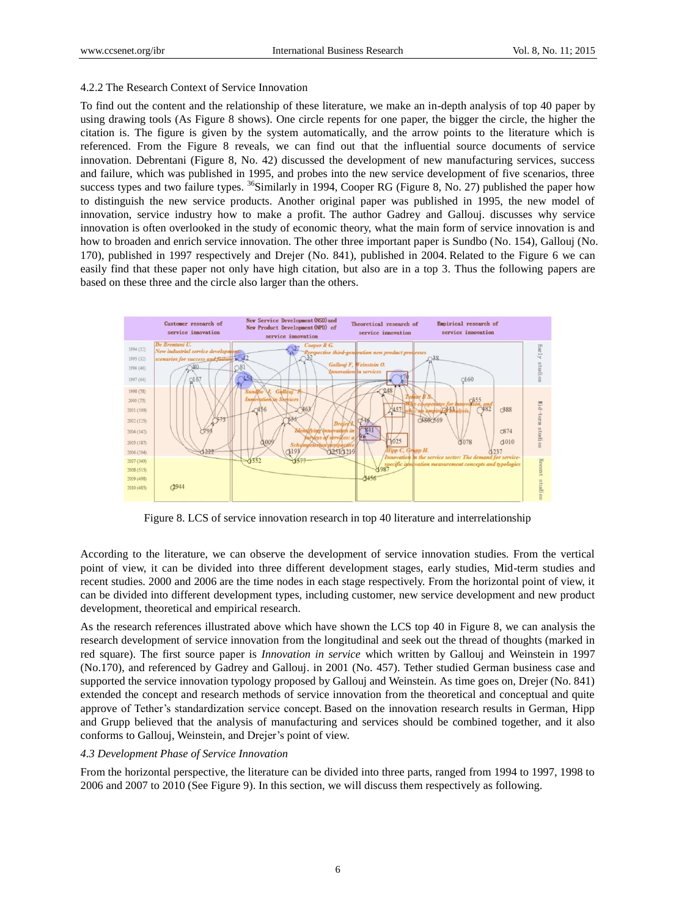#### 4.2.2 The Research Context of Service Innovation

To find out the content and the relationship of these literature, we make an in-depth analysis of top 40 paper by using drawing tools (As Figure 8 shows). One circle repents for one paper, the bigger the circle, the higher the citation is. The figure is given by the system automatically, and the arrow points to the literature which is referenced. From the Figure 8 reveals, we can find out that the influential source documents of service innovation. Debrentani (Figure 8, No. 42) discussed the development of new manufacturing services, success and failure, which was published in 1995, and probes into the new service development of five scenarios, three success types and two failure types. <sup>36</sup>Similarly in 1994, Cooper RG (Figure 8, No. 27) published the paper how to distinguish the new service products. Another original paper was published in 1995, the new model of innovation, service industry how to make a profit. The author Gadrey and Gallouj. discusses why service innovation is often overlooked in the study of economic theory, what the main form of service innovation is and how to broaden and enrich service innovation. The other three important paper is Sundbo (No. 154), Gallouj (No. 170), published in 1997 respectively and Drejer (No. 841), published in 2004. Related to the Figure 6 we can easily find that these paper not only have high citation, but also are in a top 3. Thus the following papers are based on these three and the circle also larger than the others.



Figure 8. LCS of service innovation research in top 40 literature and interrelationship

According to the literature, we can observe the development of service innovation studies. From the vertical point of view, it can be divided into three different development stages, early studies, Mid-term studies and recent studies. 2000 and 2006 are the time nodes in each stage respectively. From the horizontal point of view, it can be divided into different development types, including customer, new service development and new product development, theoretical and empirical research.

As the research references illustrated above which have shown the LCS top 40 in Figure 8, we can analysis the research development of service innovation from the longitudinal and seek out the thread of thoughts (marked in red square). The first source paper is *Innovation in service* which written by Gallouj and Weinstein in 1997 (No.170), and referenced by Gadrey and Gallouj. in 2001 (No. 457). Tether studied German business case and supported the service innovation typology proposed by Gallouj and Weinstein. As time goes on, Drejer (No. 841) extended the concept and research methods of service innovation from the theoretical and conceptual and quite approve of Tether"s standardization service concept. Based on the innovation research results in German, Hipp and Grupp believed that the analysis of manufacturing and services should be combined together, and it also conforms to Gallouj, Weinstein, and Drejer"s point of view.

#### *4.3 Development Phase of Service Innovation*

From the horizontal perspective, the literature can be divided into three parts, ranged from 1994 to 1997, 1998 to 2006 and 2007 to 2010 (See Figure 9). In this section, we will discuss them respectively as following.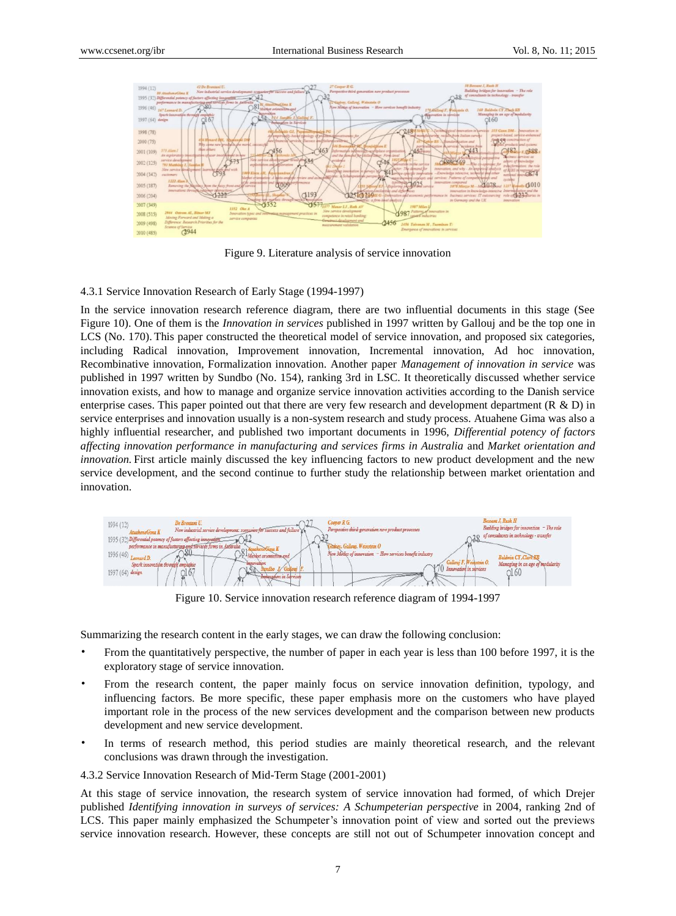

Figure 9. Literature analysis of service innovation

## 4.3.1 Service Innovation Research of Early Stage (1994-1997)

In the service innovation research reference diagram, there are two influential documents in this stage (See Figure 10). One of them is the *Innovation in services* published in 1997 written by Gallouj and be the top one in LCS (No. 170). This paper constructed the theoretical model of service innovation, and proposed six categories, including Radical innovation, Improvement innovation, Incremental innovation, Ad hoc innovation, Recombinative innovation, Formalization innovation. Another paper *Management of innovation in service* was published in 1997 written by Sundbo (No. 154), ranking 3rd in LSC. It theoretically discussed whether service innovation exists, and how to manage and organize service innovation activities according to the Danish service enterprise cases. This paper pointed out that there are very few research and development department (R & D) in service enterprises and innovation usually is a non-system research and study process. Atuahene Gima was also a highly influential researcher, and published two important documents in 1996, *Differential potency of factors affecting innovation performance in manufacturing and services firms in Australia* and *Market orientation and innovation.* First article mainly discussed the key influencing factors to new product development and the new service development, and the second continue to further study the relationship between market orientation and innovation.



Figure 10. Service innovation research reference diagram of 1994-1997

Summarizing the research content in the early stages, we can draw the following conclusion:

- From the quantitatively perspective, the number of paper in each year is less than 100 before 1997, it is the exploratory stage of service innovation.
- From the research content, the paper mainly focus on service innovation definition, typology, and influencing factors. Be more specific, these paper emphasis more on the customers who have played important role in the process of the new services development and the comparison between new products development and new service development.
- In terms of research method, this period studies are mainly theoretical research, and the relevant conclusions was drawn through the investigation.
- 4.3.2 Service Innovation Research of Mid-Term Stage (2001-2001)

At this stage of service innovation, the research system of service innovation had formed, of which Drejer published *Identifying innovation in surveys of services: A Schumpeterian perspective* in 2004*,* ranking 2nd of LCS. This paper mainly emphasized the Schumpeter's innovation point of view and sorted out the previews service innovation research. However, these concepts are still not out of Schumpeter innovation concept and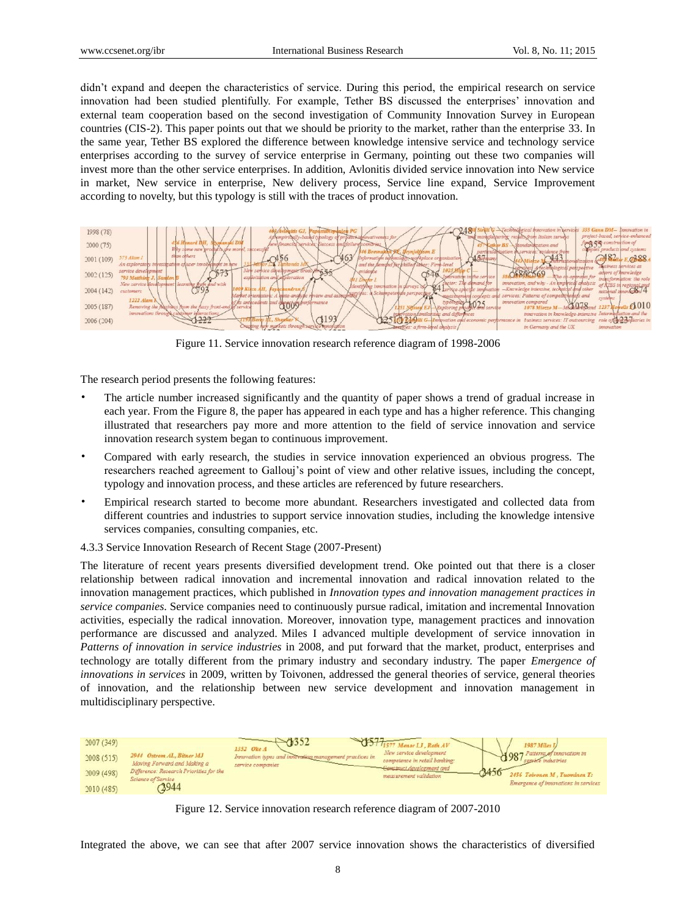didn"t expand and deepen the characteristics of service. During this period, the empirical research on service innovation had been studied plentifully. For example, Tether BS discussed the enterprises" innovation and external team cooperation based on the second investigation of Community Innovation Survey in European countries (CIS-2). This paper points out that we should be priority to the market, rather than the enterprise 33. In the same year, Tether BS explored the difference between knowledge intensive service and technology service enterprises according to the survey of service enterprise in Germany, pointing out these two companies will invest more than the other service enterprises. In addition, Avlonitis divided service innovation into New service in market, New service in enterprise, New delivery process, Service line expand, Service Improvement according to novelty, but this typology is still with the traces of product innovation.



Figure 11. Service innovation research reference diagram of 1998-2006

The research period presents the following features:

- The article number increased significantly and the quantity of paper shows a trend of gradual increase in each year. From the Figure 8, the paper has appeared in each type and has a higher reference. This changing illustrated that researchers pay more and more attention to the field of service innovation and service innovation research system began to continuous improvement.
- Compared with early research, the studies in service innovation experienced an obvious progress. The researchers reached agreement to Gallouj"s point of view and other relative issues, including the concept, typology and innovation process, and these articles are referenced by future researchers.
- Empirical research started to become more abundant. Researchers investigated and collected data from different countries and industries to support service innovation studies, including the knowledge intensive services companies, consulting companies, etc.
- 4.3.3 Service Innovation Research of Recent Stage (2007-Present)

The literature of recent years presents diversified development trend. Oke pointed out that there is a closer relationship between radical innovation and incremental innovation and radical innovation related to the innovation management practices, which published in *Innovation types and innovation management practices in service companies*. Service companies need to continuously pursue radical, imitation and incremental Innovation activities, especially the radical innovation. Moreover, innovation type, management practices and innovation performance are discussed and analyzed. Miles I advanced multiple development of service innovation in *Patterns of innovation in service industries* in 2008, and put forward that the market, product, enterprises and technology are totally different from the primary industry and secondary industry. The paper *Emergence of innovations in services* in 2009, written by Toivonen, addressed the general theories of service, general theories of innovation, and the relationship between new service development and innovation management in multidisciplinary perspective.

| 2007 (349) |                                                                      | St 1577 Menor LJ, Roth AV<br>1987 Miles I/<br>1352 Oke A                                                       |                                      |
|------------|----------------------------------------------------------------------|----------------------------------------------------------------------------------------------------------------|--------------------------------------|
| 2008(515)  | 2944 Ostrom AL, Bitner MJ<br>Moving Forward and Making a             | New service development<br>Innovation types and in<br>management practices in<br>competence in retail banking: | Patterns of innovation in            |
| 2009 (498) | Difference: Research Priorities for the<br><b>Science of Service</b> | service companies<br>Construct development and<br>measurement validation                                       | 2456 Toivonen M. Tuominen T:         |
| 2010 (485) | 2944                                                                 |                                                                                                                | Emergence of innovations in services |

Figure 12. Service innovation research reference diagram of 2007-2010

Integrated the above, we can see that after 2007 service innovation shows the characteristics of diversified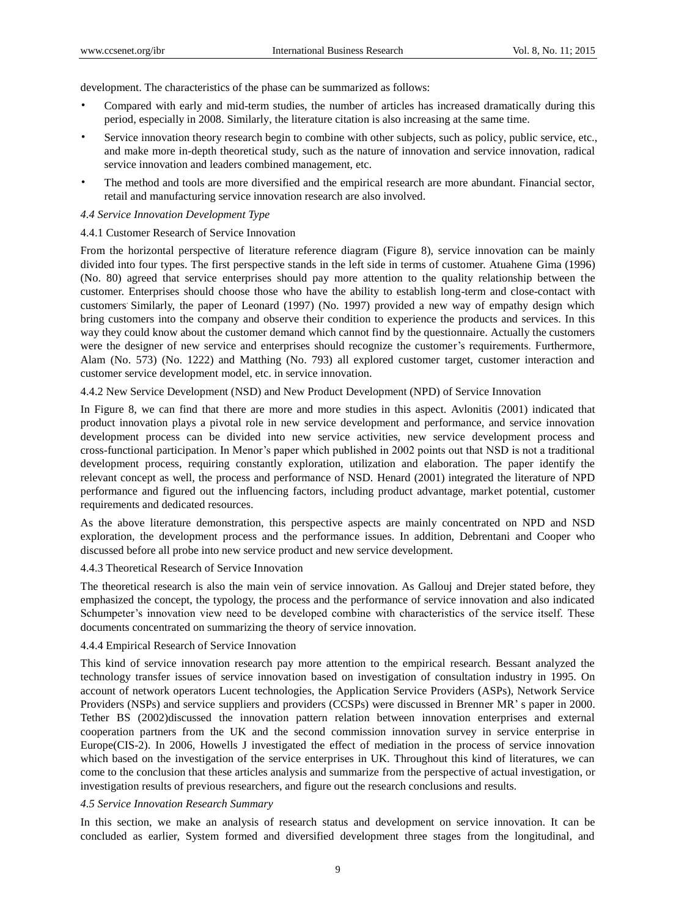development. The characteristics of the phase can be summarized as follows:

- Compared with early and mid-term studies, the number of articles has increased dramatically during this period, especially in 2008. Similarly, the literature citation is also increasing at the same time.
- Service innovation theory research begin to combine with other subjects, such as policy, public service, etc., and make more in-depth theoretical study, such as the nature of innovation and service innovation, radical service innovation and leaders combined management, etc.
- The method and tools are more diversified and the empirical research are more abundant. Financial sector, retail and manufacturing service innovation research are also involved.

## *4.4 Service Innovation Development Type*

## 4.4.1 Customer Research of Service Innovation

From the horizontal perspective of literature reference diagram (Figure 8), service innovation can be mainly divided into four types. The first perspective stands in the left side in terms of customer. Atuahene Gima (1996) (No. 80) agreed that service enterprises should pay more attention to the quality relationship between the customer. Enterprises should choose those who have the ability to establish long-term and close-contact with customers. Similarly, the paper of Leonard (1997) (No. 1997) provided a new way of empathy design which bring customers into the company and observe their condition to experience the products and services. In this way they could know about the customer demand which cannot find by the questionnaire. Actually the customers were the designer of new service and enterprises should recognize the customer"s requirements. Furthermore, Alam (No. 573) (No. 1222) and Matthing (No. 793) all explored customer target, customer interaction and customer service development model, etc. in service innovation.

4.4.2 New Service Development (NSD) and New Product Development (NPD) of Service Innovation

In Figure 8, we can find that there are more and more studies in this aspect. Avlonitis (2001) indicated that product innovation plays a pivotal role in new service development and performance, and service innovation development process can be divided into new service activities, new service development process and cross-functional participation. In Menor"s paper which published in 2002 points out that NSD is not a traditional development process, requiring constantly exploration, utilization and elaboration. The paper identify the relevant concept as well, the process and performance of NSD. Henard (2001) integrated the literature of NPD performance and figured out the influencing factors, including product advantage, market potential, customer requirements and dedicated resources.

As the above literature demonstration, this perspective aspects are mainly concentrated on NPD and NSD exploration, the development process and the performance issues. In addition, Debrentani and Cooper who discussed before all probe into new service product and new service development.

4.4.3 Theoretical Research of Service Innovation

The theoretical research is also the main vein of service innovation. As Gallouj and Drejer stated before, they emphasized the concept, the typology, the process and the performance of service innovation and also indicated Schumpeter's innovation view need to be developed combine with characteristics of the service itself. These documents concentrated on summarizing the theory of service innovation.

## 4.4.4 Empirical Research of Service Innovation

This kind of service innovation research pay more attention to the empirical research. Bessant analyzed the technology transfer issues of service innovation based on investigation of consultation industry in 1995. On account of network operators Lucent technologies, the Application Service Providers (ASPs), Network Service Providers (NSPs) and service suppliers and providers (CCSPs) were discussed in Brenner MR" s paper in 2000. Tether BS (2002)discussed the innovation pattern relation between innovation enterprises and external cooperation partners from the UK and the second commission innovation survey in service enterprise in Europe(CIS-2). In 2006, Howells J investigated the effect of mediation in the process of service innovation which based on the investigation of the service enterprises in UK. Throughout this kind of literatures, we can come to the conclusion that these articles analysis and summarize from the perspective of actual investigation, or investigation results of previous researchers, and figure out the research conclusions and results.

#### *4.5 Service Innovation Research Summary*

In this section, we make an analysis of research status and development on service innovation. It can be concluded as earlier, System formed and diversified development three stages from the longitudinal, and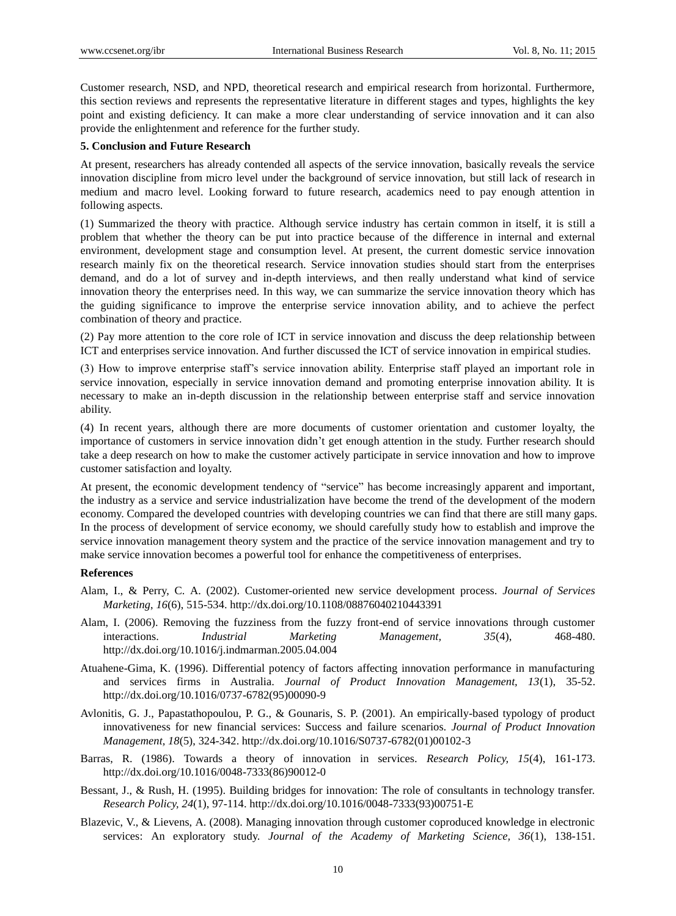Customer research, NSD, and NPD, theoretical research and empirical research from horizontal. Furthermore, this section reviews and represents the representative literature in different stages and types, highlights the key point and existing deficiency. It can make a more clear understanding of service innovation and it can also provide the enlightenment and reference for the further study.

## **5. Conclusion and Future Research**

At present, researchers has already contended all aspects of the service innovation, basically reveals the service innovation discipline from micro level under the background of service innovation, but still lack of research in medium and macro level. Looking forward to future research, academics need to pay enough attention in following aspects.

(1) Summarized the theory with practice. Although service industry has certain common in itself, it is still a problem that whether the theory can be put into practice because of the difference in internal and external environment, development stage and consumption level. At present, the current domestic service innovation research mainly fix on the theoretical research. Service innovation studies should start from the enterprises demand, and do a lot of survey and in-depth interviews, and then really understand what kind of service innovation theory the enterprises need. In this way, we can summarize the service innovation theory which has the guiding significance to improve the enterprise service innovation ability, and to achieve the perfect combination of theory and practice.

(2) Pay more attention to the core role of ICT in service innovation and discuss the deep relationship between ICT and enterprises service innovation. And further discussed the ICT of service innovation in empirical studies.

(3) How to improve enterprise staff"s service innovation ability. Enterprise staff played an important role in service innovation, especially in service innovation demand and promoting enterprise innovation ability. It is necessary to make an in-depth discussion in the relationship between enterprise staff and service innovation ability.

(4) In recent years, although there are more documents of customer orientation and customer loyalty, the importance of customers in service innovation didn't get enough attention in the study. Further research should take a deep research on how to make the customer actively participate in service innovation and how to improve customer satisfaction and loyalty.

At present, the economic development tendency of "service" has become increasingly apparent and important, the industry as a service and service industrialization have become the trend of the development of the modern economy. Compared the developed countries with developing countries we can find that there are still many gaps. In the process of development of service economy, we should carefully study how to establish and improve the service innovation management theory system and the practice of the service innovation management and try to make service innovation becomes a powerful tool for enhance the competitiveness of enterprises.

#### **References**

- Alam, I., & Perry, C. A. (2002). Customer-oriented new service development process. *Journal of Services Marketing*, *16*(6), 515-534[. http://dx.doi.org/10.1108/08876040210443391](http://dx.doi.org/10.1108/08876040210443391)
- Alam, I. (2006). Removing the fuzziness from the fuzzy front-end of service innovations through customer interactions. *Industrial Marketing Management, 35*(4), 468-480. <http://dx.doi.org/10.1016/j.indmarman.2005.04.004>
- Atuahene-Gima, K. (1996). Differential potency of factors affecting innovation performance in manufacturing and services firms in Australia. *Journal of Product Innovation Management, 13*(1), 35-52. [http://dx.doi.org/10.1016/0737-6782\(95\)00090-9](http://dx.doi.org/10.1016/0737-6782(95)00090-9)
- Avlonitis, G. J., Papastathopoulou, P. G., & Gounaris, S. P. (2001). An empirically-based typology of product innovativeness for new financial services: Success and failure scenarios. *Journal of Product Innovation Management, 18*(5), 324-342. [http://dx.doi.org/10.1016/S0737-6782\(01\)00102-3](http://dx.doi.org/10.1016/S0737-6782(01)00102-3)
- Barras, R. (1986). Towards a theory of innovation in services. *Research Policy, 15*(4), 161-173. [http://dx.doi.org/10.1016/0048-7333\(86\)90012-0](http://dx.doi.org/10.1016/0048-7333(86)90012-0)
- Bessant, J., & Rush, H. (1995). Building bridges for innovation: The role of consultants in technology transfer. *Research Policy, 24*(1), 97-114. [http://dx.doi.org/10.1016/0048-7333\(93\)00751-E](http://dx.doi.org/10.1016/0048-7333(93)00751-E)
- Blazevic, V., & Lievens, A. (2008). Managing innovation through customer coproduced knowledge in electronic services: An exploratory study. *Journal of the Academy of Marketing Science, 36*(1), 138-151.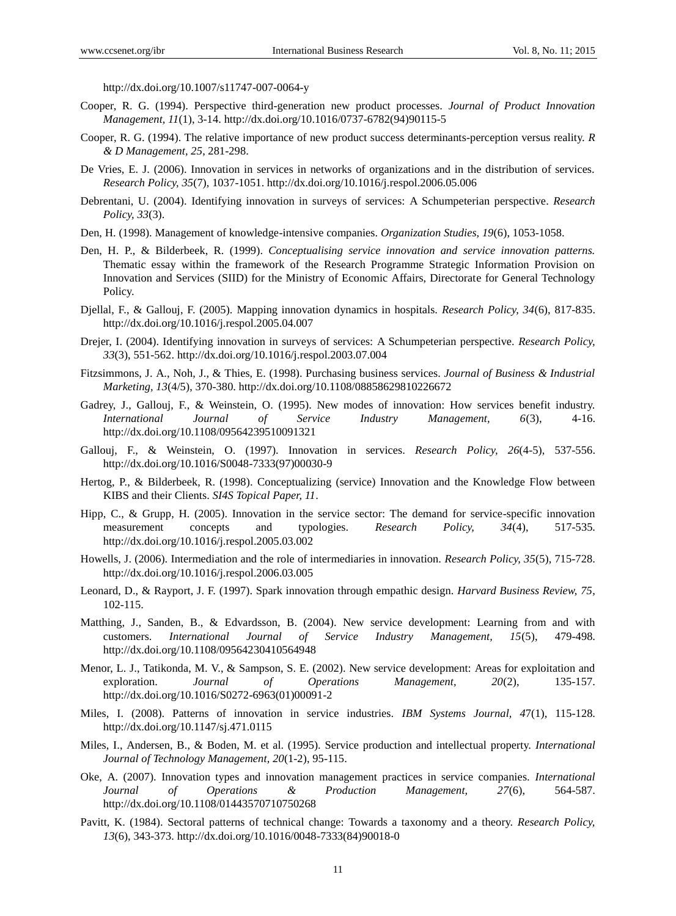<http://dx.doi.org/10.1007/s11747-007-0064-y>

- Cooper, R. G. (1994). Perspective third-generation new product processes. *Journal of Product Innovation Management, 11*(1), 3-14. [http://dx.doi.org/10.1016/0737-6782\(94\)90115-5](http://dx.doi.org/10.1016/0737-6782(94)90115-5)
- Cooper, R. G. (1994). The relative importance of new product success determinants-perception versus reality. *R & D Management, 25*, 281-298.
- De Vries, E. J. (2006). Innovation in services in networks of organizations and in the distribution of services. *Research Policy, 35*(7), 1037-1051.<http://dx.doi.org/10.1016/j.respol.2006.05.006>
- Debrentani, U. (2004). [Identifying innovation in surveys of services: A](http://apps.webofknowledge.com/full_record.do?product=UA&search_mode=GeneralSearch&qid=11&SID=4Ao4pDIaol5VNqvz8Zp&page=1&doc=1&cacheurlFromRightClick=no) Schumpeterian perspective. *Research Policy, 33*(3).
- Den, H. (1998). [Management of knowledge-intensive companies.](http://apps.webofknowledge.com/full_record.do?product=UA&search_mode=GeneralSearch&qid=6&SID=4Ao4pDIaol5VNqvz8Zp&page=1&doc=5) *Organization Studies, 19*(6), 1053-1058.
- Den, H. P., & Bilderbeek, R. (1999). *Conceptualising service innovation and service innovation patterns.* Thematic essay within the framework of the Research Programme Strategic Information Provision on Innovation and Services (SIID) for the Ministry of Economic Affairs, Directorate for General Technology Policy.
- Djellal, F., & Gallouj, F. (2005). Mapping innovation dynamics in hospitals. *Research Policy, 34*(6), 817-835. <http://dx.doi.org/10.1016/j.respol.2005.04.007>
- Drejer, I. (2004). Identifying innovation in surveys of services: A Schumpeterian perspective. *Research Policy, 33*(3), 551-562. <http://dx.doi.org/10.1016/j.respol.2003.07.004>
- Fitzsimmons, J. A., Noh, J., & Thies, E. (1998). Purchasing business services. *Journal of Business & Industrial Marketing, 13*(4/5), 370-380. <http://dx.doi.org/10.1108/08858629810226672>
- Gadrey, J., Gallouj, F., & Weinstein, O. (1995). New modes of innovation: How services benefit industry. *International Journal of Service Industry Management, 6*(3), 4-16. <http://dx.doi.org/10.1108/09564239510091321>
- Gallouj, F., & Weinstein, O. (1997). Innovation in services. *Research Policy, 26*(4-5), 537-556. [http://dx.doi.org/10.1016/S0048-7333\(97\)00030-9](http://dx.doi.org/10.1016/S0048-7333(97)00030-9)
- Hertog, P., & Bilderbeek, R. (1998). Conceptualizing (service) Innovation and the Knowledge Flow between KIBS and their Clients. *SI4S Topical Paper, 11*.
- Hipp, C., & Grupp, H. (2005). Innovation in the service sector: The demand for service-specific innovation measurement concepts and typologies. *Research Policy, 34*(4), 517-535. <http://dx.doi.org/10.1016/j.respol.2005.03.002>
- Howells, J. (2006). Intermediation and the role of intermediaries in innovation. *Research Policy, 35*(5), 715-728. <http://dx.doi.org/10.1016/j.respol.2006.03.005>
- Leonard, D., & Rayport, J. F. (1997). Spark innovation through empathic design. *Harvard Business Review, 75*, 102-115.
- Matthing, J., Sanden, B., & Edvardsson, B. (2004). New service development: Learning from and with customers. *International Journal of Service Industry Management, 15*(5), 479-498. <http://dx.doi.org/10.1108/09564230410564948>
- Menor, L. J., Tatikonda, M. V., & Sampson, S. E. (2002). New service development: Areas for exploitation and exploration. *Journal of Operations Management, 20*(2), 135-157. [http://dx.doi.org/10.1016/S0272-6963\(01\)00091-2](http://dx.doi.org/10.1016/S0272-6963(01)00091-2)
- Miles, I. (2008). Patterns of innovation in service industries. *IBM Systems Journal, 4*7(1), 115-128. <http://dx.doi.org/10.1147/sj.471.0115>
- Miles, I., Andersen, B., & Boden, M. et al. (1995). Service production and intellectual property. *International Journal of Technology Management, 20*(1-2), 95-115.
- Oke, A. (2007). Innovation types and innovation management practices in service companies. *International Journal of Operations & Production Management, 27*(6), 564-587. <http://dx.doi.org/10.1108/01443570710750268>
- Pavitt, K. (1984). Sectoral patterns of technical change: Towards a taxonomy and a theory. *Research Policy, 13*(6), 343-373. [http://dx.doi.org/10.1016/0048-7333\(84\)90018-0](http://dx.doi.org/10.1016/0048-7333(84)90018-0)